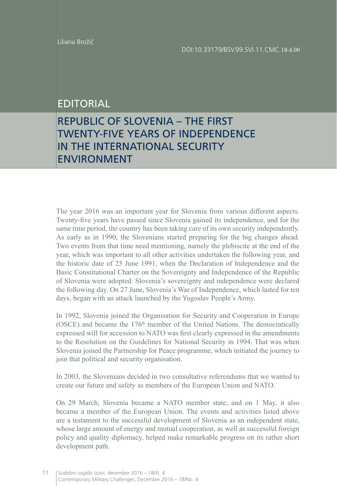## EDITORIAL

## REPUBLIC OF SLOVENIA – THE FIRST TWENTY-FIVE YEARS OF INDEPENDENCE IN THE INTERNATIONAL SECURITY ENVIRONMENT

The year 2016 was an important year for Slovenia from various different aspects. Twenty-five years have passed since Slovenia gained its independence, and for the same time period, the country has been taking care of its own security independently. As early as in 1990, the Slovenians started preparing for the big changes ahead. Two events from that time need mentioning, namely the plebiscite at the end of the year, which was important to all other activities undertaken the following year, and the historic date of 25 June 1991, when the Declaration of Independence and the Basic Constitutional Charter on the Sovereignty and Independence of the Republic of Slovenia were adopted. Slovenia's sovereignty and independence were declared the following day. On 27 June, Slovenia's War of Independence, which lasted for ten days, began with an attack launched by the Yugoslav People's Army.

In 1992, Slovenia joined the Organisation for Security and Cooperation in Europe (OSCE) and became the 176th member of the United Nations. The democratically expressed will for accession to NATO was first clearly expressed in the amendments to the Resolution on the Guidelines for National Security in 1994. That was when Slovenia joined the Partnership for Peace programme, which initiated the journey to join that political and security organisation.

In 2003, the Slovenians decided in two consultative referendums that we wanted to create our future and safety as members of the European Union and NATO.

On 29 March, Slovenia became a NATO member state, and on 1 May, it also became a member of the European Union. The events and activities listed above are a testament to the successful development of Slovenia as an independent state, whose large amount of energy and mutual cooperation, as well as successful foreign policy and quality diplomacy, helped make remarkable progress on its rather short development path.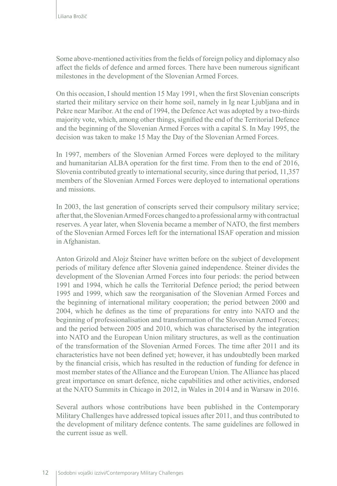Some above-mentioned activities from the fields of foreign policy and diplomacy also affect the fields of defence and armed forces. There have been numerous significant milestones in the development of the Slovenian Armed Forces.

On this occasion, I should mention 15 May 1991, when the first Slovenian conscripts started their military service on their home soil, namely in Ig near Ljubljana and in Pekre near Maribor. At the end of 1994, the Defence Act was adopted by a two-thirds majority vote, which, among other things, signified the end of the Territorial Defence and the beginning of the Slovenian Armed Forces with a capital S. In May 1995, the decision was taken to make 15 May the Day of the Slovenian Armed Forces.

In 1997, members of the Slovenian Armed Forces were deployed to the military and humanitarian ALBA operation for the first time. From then to the end of 2016, Slovenia contributed greatly to international security, since during that period, 11,357 members of the Slovenian Armed Forces were deployed to international operations and missions.

In 2003, the last generation of conscripts served their compulsory military service; after that, the Slovenian Armed Forces changed to a professional army with contractual reserves. A year later, when Slovenia became a member of NATO, the first members of the Slovenian Armed Forces left for the international ISAF operation and mission in Afghanistan.

Anton Grizold and Alojz Šteiner have written before on the subject of development periods of military defence after Slovenia gained independence. Šteiner divides the development of the Slovenian Armed Forces into four periods: the period between 1991 and 1994, which he calls the Territorial Defence period; the period between 1995 and 1999, which saw the reorganisation of the Slovenian Armed Forces and the beginning of international military cooperation; the period between 2000 and 2004, which he defines as the time of preparations for entry into NATO and the beginning of professionalisation and transformation of the Slovenian Armed Forces; and the period between 2005 and 2010, which was characterised by the integration into NATO and the European Union military structures, as well as the continuation of the transformation of the Slovenian Armed Forces. The time after 2011 and its characteristics have not been defined yet; however, it has undoubtedly been marked by the financial crisis, which has resulted in the reduction of funding for defence in most member states of the Alliance and the European Union. The Alliance has placed great importance on smart defence, niche capabilities and other activities, endorsed at the NATO Summits in Chicago in 2012, in Wales in 2014 and in Warsaw in 2016.

Several authors whose contributions have been published in the Contemporary Military Challenges have addressed topical issues after 2011, and thus contributed to the development of military defence contents. The same guidelines are followed in the current issue as well.